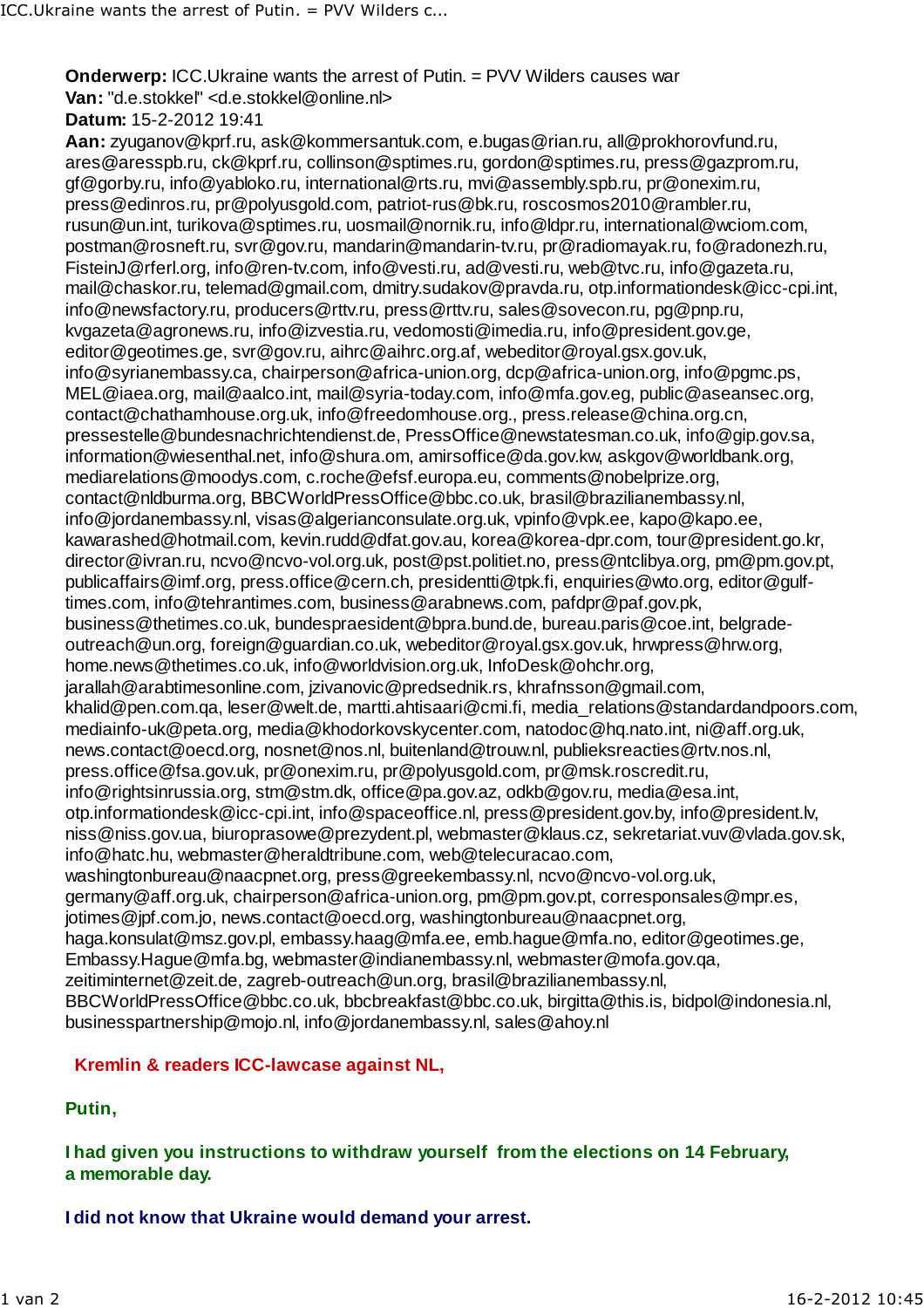**Onderwerp: ICC.Ukraine wants the arrest of Putin. = PVV Wilders causes war Van:** "d.e.stokkel" <d.e.stokkel@online.nl> **Datum:** 15-2-2012 19:41

**Aan:** zyuganov@kprf.ru, ask@kommersantuk.com, e.bugas@rian.ru, all@prokhorovfund.ru, ares@aresspb.ru, ck@kprf.ru, collinson@sptimes.ru, gordon@sptimes.ru, press@gazprom.ru, gf@gorby.ru, info@yabloko.ru, international@rts.ru, mvi@assembly.spb.ru, pr@onexim.ru, press@edinros.ru, pr@polyusgold.com, patriot-rus@bk.ru, roscosmos2010@rambler.ru, rusun@un.int, turikova@sptimes.ru, uosmail@nornik.ru, info@ldpr.ru, international@wciom.com, postman@rosneft.ru, svr@gov.ru, mandarin@mandarin-tv.ru, pr@radiomayak.ru, fo@radonezh.ru, FisteinJ@rferl.org, info@ren-tv.com, info@vesti.ru, ad@vesti.ru, web@tvc.ru, info@gazeta.ru, mail@chaskor.ru, telemad@gmail.com, dmitry.sudakov@pravda.ru, otp.informationdesk@icc-cpi.int, info@newsfactory.ru, producers@rttv.ru, press@rttv.ru, sales@sovecon.ru, pg@pnp.ru, kvgazeta@agronews.ru, info@izvestia.ru, vedomosti@imedia.ru, info@president.gov.ge, editor@geotimes.ge, svr@gov.ru, aihrc@aihrc.org.af, webeditor@royal.gsx.gov.uk, info@syrianembassy.ca, chairperson@africa-union.org, dcp@africa-union.org, info@pgmc.ps, MEL@iaea.org, mail@aalco.int, mail@syria-today.com, info@mfa.gov.eg, public@aseansec.org, contact@chathamhouse.org.uk, info@freedomhouse.org., press.release@china.org.cn, pressestelle@bundesnachrichtendienst.de, PressOffice@newstatesman.co.uk, info@gip.gov.sa, information@wiesenthal.net, info@shura.om, amirsoffice@da.gov.kw, askgov@worldbank.org, mediarelations@moodys.com, c.roche@efsf.europa.eu, comments@nobelprize.org, contact@nldburma.org, BBCWorldPressOffice@bbc.co.uk, brasil@brazilianembassy.nl, info@jordanembassy.nl, visas@algerianconsulate.org.uk, vpinfo@vpk.ee, kapo@kapo.ee, kawarashed@hotmail.com, kevin.rudd@dfat.gov.au, korea@korea-dpr.com, tour@president.go.kr, director@ivran.ru, ncvo@ncvo-vol.org.uk, post@pst.politiet.no, press@ntclibya.org, pm@pm.gov.pt, publicaffairs@imf.org, press.office@cern.ch, presidentti@tpk.fi, enquiries@wto.org, editor@gulftimes.com, info@tehrantimes.com, business@arabnews.com, pafdpr@paf.gov.pk, business@thetimes.co.uk, bundespraesident@bpra.bund.de, bureau.paris@coe.int, belgradeoutreach@un.org, foreign@guardian.co.uk, webeditor@royal.gsx.gov.uk, hrwpress@hrw.org, home.news@thetimes.co.uk, info@worldvision.org.uk, InfoDesk@ohchr.org, jarallah@arabtimesonline.com, jzivanovic@predsednik.rs, khrafnsson@gmail.com, khalid@pen.com.qa, leser@welt.de, martti.ahtisaari@cmi.fi, media\_relations@standardandpoors.com, mediainfo-uk@peta.org, media@khodorkovskycenter.com, natodoc@hq.nato.int, ni@aff.org.uk, news.contact@oecd.org, nosnet@nos.nl, buitenland@trouw.nl, publieksreacties@rtv.nos.nl, press.office@fsa.gov.uk, pr@onexim.ru, pr@polyusgold.com, pr@msk.roscredit.ru, info@rightsinrussia.org, stm@stm.dk, office@pa.gov.az, odkb@gov.ru, media@esa.int, otp.informationdesk@icc-cpi.int, info@spaceoffice.nl, press@president.gov.by, info@president.lv, niss@niss.gov.ua, biuroprasowe@prezydent.pl, webmaster@klaus.cz, sekretariat.vuv@vlada.gov.sk, info@hatc.hu, webmaster@heraldtribune.com, web@telecuracao.com, washingtonbureau@naacpnet.org, press@greekembassy.nl, ncvo@ncvo-vol.org.uk, germany@aff.org.uk, chairperson@africa-union.org, pm@pm.gov.pt, corresponsales@mpr.es, jotimes@jpf.com.jo, news.contact@oecd.org, washingtonbureau@naacpnet.org, haga.konsulat@msz.gov.pl, embassy.haag@mfa.ee, emb.hague@mfa.no, editor@geotimes.ge, Embassy.Hague@mfa.bg, webmaster@indianembassy.nl, webmaster@mofa.gov.qa, zeitiminternet@zeit.de, zagreb-outreach@un.org, brasil@brazilianembassy.nl, BBCWorldPressOffice@bbc.co.uk, bbcbreakfast@bbc.co.uk, birgitta@this.is, bidpol@indonesia.nl, businesspartnership@mojo.nl, info@jordanembassy.nl, sales@ahoy.nl

### **Kremlin & readers ICC-lawcase against NL,**

#### **Putin,**

**I had given you instructions to withdraw yourself from the elections on 14 February, a memorable day.**

**I did not know that Ukraine would demand your arrest.**